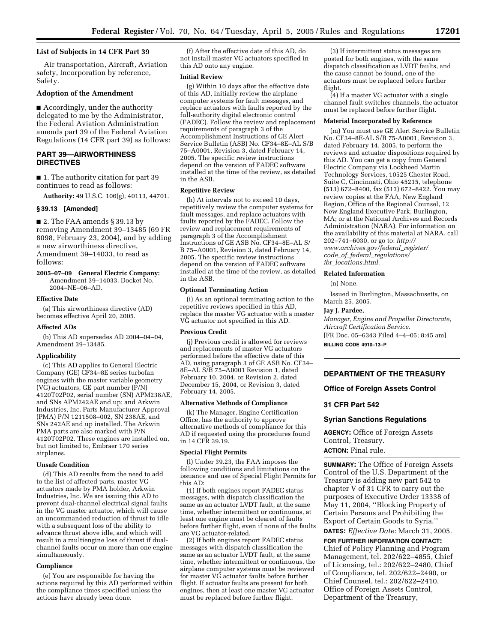# **List of Subjects in 14 CFR Part 39**

Air transportation, Aircraft, Aviation safety, Incorporation by reference, Safety.

## **Adoption of the Amendment**

■ Accordingly, under the authority delegated to me by the Administrator, the Federal Aviation Administration amends part 39 of the Federal Aviation Regulations (14 CFR part 39) as follows:

# **PART 39—AIRWORTHINESS DIRECTIVES**

■ 1. The authority citation for part 39 continues to read as follows:

**Authority:** 49 U.S.C. 106(g), 40113, 44701.

## **§ 39.13 [Amended]**

■ 2. The FAA amends § 39.13 by removing Amendment 39–13485 (69 FR 8098, February 23, 2004), and by adding a new airworthiness directive, Amendment 39–14033, to read as follows:

**2005–07–09 General Electric Company:** Amendment 39–14033. Docket No. 2004–NE–06–AD.

#### **Effective Date**

(a) This airworthiness directive (AD) becomes effective April 20, 2005.

#### **Affected ADs**

(b) This AD supersedes AD 2004–04–04, Amendment 39–13485.

# **Applicability**

(c) This AD applies to General Electric Company (GE) CF34–8E series turbofan engines with the master variable geometry  $(V\bar{G})$  actuators, GE part number  $(\bar{P}/N)$ 4120T02P02, serial number (SN) APM238AE, and SNs APM242AE and up; and Arkwin Industries, Inc. Parts Manufacturer Approval (PMA) P/N 1211508–002, SN 238AE, and SNs 242AE and up installed. The Arkwin PMA parts are also marked with P/N 4120T02P02. These engines are installed on, but not limited to, Embraer 170 series airplanes.

## **Unsafe Condition**

(d) This AD results from the need to add to the list of affected parts, master VG actuators made by PMA holder, Arkwin Industries, Inc. We are issuing this AD to prevent dual-channel electrical signal faults in the VG master actuator, which will cause an uncommanded reduction of thrust to idle with a subsequent loss of the ability to advance thrust above idle, and which will result in a multiengine loss of thrust if dualchannel faults occur on more than one engine simultaneously.

# **Compliance**

(e) You are responsible for having the actions required by this AD performed within the compliance times specified unless the actions have already been done.

(f) After the effective date of this AD, do not install master VG actuators specified in this AD onto any engine.

#### **Initial Review**

(g) Within 10 days after the effective date of this AD, initially review the airplane computer systems for fault messages, and replace actuators with faults reported by the full-authority digital electronic control (FADEC). Follow the review and replacement requirements of paragraph 3 of the Accomplishment Instructions of GE Alert Service Bulletin (ASB) No. CF34–8E–AL S/B 75–A0001, Revision 3, dated February 14, 2005. The specific review instructions depend on the version of FADEC software installed at the time of the review, as detailed in the ASB.

# **Repetitive Review**

(h) At intervals not to exceed 10 days, repetitively review the computer systems for fault messages, and replace actuators with faults reported by the FADEC. Follow the review and replacement requirements of paragraph 3 of the Accomplishment Instructions of GE ASB No. CF34–8E–AL S/ B 75–A0001, Revision 3, dated February 14, 2005. The specific review instructions depend on the version of FADEC software installed at the time of the review, as detailed in the ASB.

# **Optional Terminating Action**

(i) As an optional terminating action to the repetitive reviews specified in this AD, replace the master VG actuator with a master VG actuator not specified in this AD.

#### **Previous Credit**

(j) Previous credit is allowed for reviews and replacements of master VG actuators performed before the effective date of this AD, using paragraph 3 of GE ASB No. CF34– 8E–AL S/B 75–A0001 Revision 1, dated February 10, 2004, or Revision 2, dated December 15, 2004, or Revision 3, dated February 14, 2005.

#### **Alternative Methods of Compliance**

(k) The Manager, Engine Certification Office, has the authority to approve alternative methods of compliance for this AD if requested using the procedures found in 14 CFR 39.19.

## **Special Flight Permits**

(l) Under 39.23, the FAA imposes the following conditions and limitations on the issuance and use of Special Flight Permits for this AD:

(1) If both engines report FADEC status messages, with dispatch classification the same as an actuator LVDT fault, at the same time, whether intermittent or continuous, at least one engine must be cleared of faults before further flight, even if none of the faults are VG actuator-related.

(2) If both engines report FADEC status messages with dispatch classification the same as an actuator LVDT fault, at the same time, whether intermittent or continuous, the airplane computer systems must be reviewed for master VG actuator faults before further flight. If actuator faults are present for both engines, then at least one master VG actuator must be replaced before further flight.

(3) If intermittent status messages are posted for both engines, with the same dispatch classification as LVDT faults, and the cause cannot be found, one of the actuators must be replaced before further flight.

(4) If a master VG actuator with a single channel fault switches channels, the actuator must be replaced before further flight.

#### **Material Incorporated by Reference**

(m) You must use GE Alert Service Bulletin No. CF34–8E-AL S/B 75-A0001, Revision 3, dated February 14, 2005, to perform the reviews and actuator dispositions required by this AD. You can get a copy from General Electric Company via Lockheed Martin Technology Services, 10525 Chester Road, Suite C, Cincinnati, Ohio 45215, telephone (513) 672–8400, fax (513) 672–8422. You may review copies at the FAA, New England Region, Office of the Regional Counsel, 12 New England Executive Park, Burlington, MA; or at the National Archives and Records Administration (NARA). For information on the availability of this material at NARA, call 202–741–6030, or go to: *http:// [www.archives.gov/federal](http://www.archives.gov/federal_register/code_of_federal_regulations/ibr_locations.html)*\_*register/ code*\_*of*\_*federal*\_*regulations/ ibr*\_*locations.html.*

#### **Related Information**

(n) None.

Issued in Burlington, Massachusetts, on March 25, 2005.

## **Jay J. Pardee,**

*Manager, Engine and Propeller Directorate, Aircraft Certification Service.* [FR Doc. 05–6343 Filed 4–4–05; 8:45 am]

**BILLING CODE 4910–13–P**

# **DEPARTMENT OF THE TREASURY**

# **Office of Foreign Assets Control**

# **31 CFR Part 542**

## **Syrian Sanctions Regulations**

**AGENCY:** Office of Foreign Assets Control, Treasury. **ACTION:** Final rule.

**SUMMARY:** The Office of Foreign Assets Control of the U.S. Department of the Treasury is adding new part 542 to chapter V of 31 CFR to carry out the purposes of Executive Order 13338 of May 11, 2004, ''Blocking Property of Certain Persons and Prohibiting the Export of Certain Goods to Syria.''

**DATES:** *Effective Date:* March 31, 2005.

**FOR FURTHER INFORMATION CONTACT:** Chief of Policy Planning and Program Management, tel. 202/622–4855, Chief of Licensing, tel.: 202/622–2480, Chief of Compliance, tel. 202/622–2490, or Chief Counsel, tel.: 202/622–2410, Office of Foreign Assets Control, Department of the Treasury,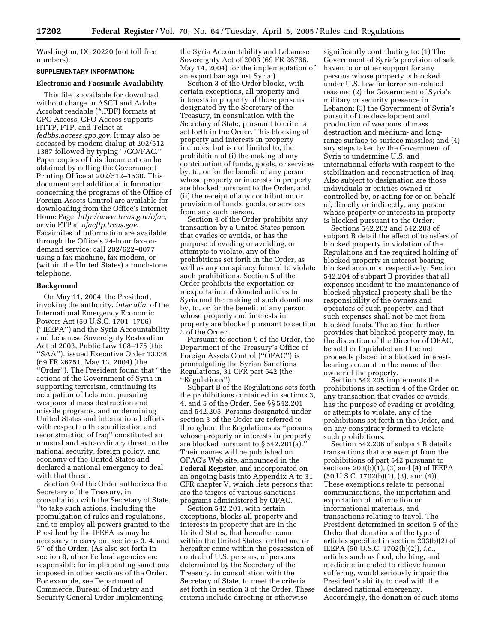Washington, DC 20220 (not toll free numbers).

# **SUPPLEMENTARY INFORMATION:**

# **Electronic and Facsimile Availability**

This file is available for download without charge in ASCII and Adobe Acrobat readable (\*.PDF) formats at GPO Access. GPO Access supports HTTP, FTP, and Telnet at *fedbbs.access.gpo.gov*. It may also be accessed by modem dialup at 202/512– 1387 followed by typing ''/GO/FAC.'' Paper copies of this document can be obtained by calling the Government Printing Office at 202/512–1530. This document and additional information concerning the programs of the Office of Foreign Assets Control are available for downloading from the Office's Internet Home Page: *<http://www.treas.gov/ofac>*, or via FTP at *ofacftp.treas.gov*. Facsimiles of information are available through the Office's 24-hour fax-ondemand service: call 202/622–0077 using a fax machine, fax modem, or (within the United States) a touch-tone telephone.

## **Background**

On May 11, 2004, the President, invoking the authority, *inter alia*, of the International Emergency Economic Powers Act (50 U.S.C. 1701–1706) (''IEEPA'') and the Syria Accountability and Lebanese Sovereignty Restoration Act of 2003, Public Law 108–175 (the ''SAA''), issued Executive Order 13338 (69 FR 26751, May 13, 2004) (the ''Order''). The President found that ''the actions of the Government of Syria in supporting terrorism, continuing its occupation of Lebanon, pursuing weapons of mass destruction and missile programs, and undermining United States and international efforts with respect to the stabilization and reconstruction of Iraq'' constituted an unusual and extraordinary threat to the national security, foreign policy, and economy of the United States and declared a national emergency to deal with that threat.

Section 9 of the Order authorizes the Secretary of the Treasury, in consultation with the Secretary of State, ''to take such actions, including the promulgation of rules and regulations, and to employ all powers granted to the President by the IEEPA as may be necessary to carry out sections 3, 4, and 5'' of the Order. (As also set forth in section 9, other Federal agencies are responsible for implementing sanctions imposed in other sections of the Order. For example, see Department of Commerce, Bureau of Industry and Security General Order Implementing

the Syria Accountability and Lebanese Sovereignty Act of 2003 (69 FR 26766, May 14, 2004) for the implementation of an export ban against Syria.)

Section 3 of the Order blocks, with certain exceptions, all property and interests in property of those persons designated by the Secretary of the Treasury, in consultation with the Secretary of State, pursuant to criteria set forth in the Order. This blocking of property and interests in property includes, but is not limited to, the prohibition of (i) the making of any contribution of funds, goods, or services by, to, or for the benefit of any person whose property or interests in property are blocked pursuant to the Order, and (ii) the receipt of any contribution or provision of funds, goods, or services from any such person.

Section 4 of the Order prohibits any transaction by a United States person that evades or avoids, or has the purpose of evading or avoiding, or attempts to violate, any of the prohibitions set forth in the Order, as well as any conspiracy formed to violate such prohibitions. Section 5 of the Order prohibits the exportation or reexportation of donated articles to Syria and the making of such donations by, to, or for the benefit of any person whose property and interests in property are blocked pursuant to section 3 of the Order.

Pursuant to section 9 of the Order, the Department of the Treasury's Office of Foreign Assets Control (''OFAC'') is promulgating the Syrian Sanctions Regulations, 31 CFR part 542 (the ''Regulations'').

Subpart B of the Regulations sets forth the prohibitions contained in sections 3, 4, and 5 of the Order. See §§ 542.201 and 542.205. Persons designated under section 3 of the Order are referred to throughout the Regulations as ''persons whose property or interests in property are blocked pursuant to § 542.201(a).'' Their names will be published on OFAC's Web site, announced in the **Federal Register**, and incorporated on an ongoing basis into Appendix A to 31 CFR chapter V, which lists persons that are the targets of various sanctions programs administered by OFAC.

Section 542.201, with certain exceptions, blocks all property and interests in property that are in the United States, that hereafter come within the United States, or that are or hereafter come within the possession of control of U.S. persons, of persons determined by the Secretary of the Treasury, in consultation with the Secretary of State, to meet the criteria set forth in section 3 of the Order. These criteria include directing or otherwise

significantly contributing to: (1) The Government of Syria's provision of safe haven to or other support for any persons whose property is blocked under U.S. law for terrorism-related reasons; (2) the Government of Syria's military or security presence in Lebanon; (3) the Government of Syria's pursuit of the development and production of weapons of mass destruction and medium- and longrange surface-to-surface missiles; and (4) any steps taken by the Government of Syria to undermine U.S. and international efforts with respect to the stabilization and reconstruction of Iraq. Also subject to designation are those individuals or entities owned or controlled by, or acting for or on behalf of, directly or indirectly, any person whose property or interests in property is blocked pursuant to the Order.

Sections 542.202 and 542.203 of subpart B detail the effect of transfers of blocked property in violation of the Regulations and the required holding of blocked property in interest-bearing blocked accounts, respectively. Section 542.204 of subpart B provides that all expenses incident to the maintenance of blocked physical property shall be the responsibility of the owners and operators of such property, and that such expenses shall not be met from blocked funds. The section further provides that blocked property may, in the discretion of the Director of OFAC, be sold or liquidated and the net proceeds placed in a blocked interestbearing account in the name of the owner of the property.

Section 542.205 implements the prohibitions in section 4 of the Order on any transaction that evades or avoids, has the purpose of evading or avoiding, or attempts to violate, any of the prohibitions set forth in the Order, and on any conspiracy formed to violate such prohibitions.

Section 542.206 of subpart B details transactions that are exempt from the prohibitions of part 542 pursuant to sections  $203(b)(1)$ ,  $(3)$  and  $(4)$  of IEEPA (50 U.S.C. 1702(b)(1), (3), and (4)). These exemptions relate to personal communications, the importation and exportation of information or informational materials, and transactions relating to travel. The President determined in section 5 of the Order that donations of the type of articles specified in section 203(b)(2) of IEEPA (50 U.S.C. 1702(b)(2)), *i.e.,* articles such as food, clothing, and medicine intended to relieve human suffering, would seriously impair the President's ability to deal with the declared national emergency. Accordingly, the donation of such items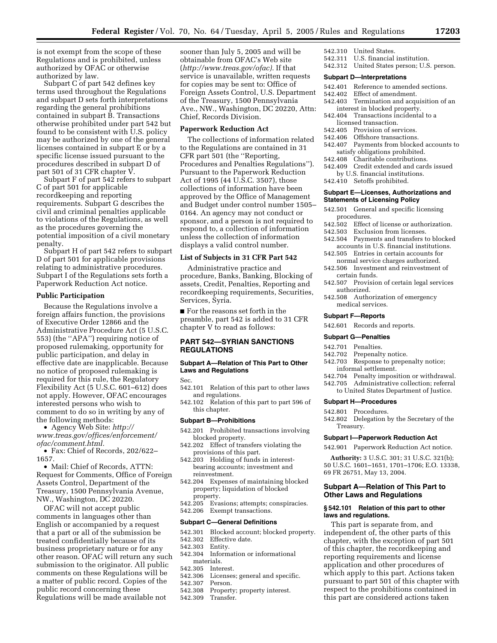is not exempt from the scope of these Regulations and is prohibited, unless authorized by OFAC or otherwise authorized by law.

Subpart C of part 542 defines key terms used throughout the Regulations and subpart D sets forth interpretations regarding the general prohibitions contained in subpart B. Transactions otherwise prohibited under part 542 but found to be consistent with U.S. policy may be authorized by one of the general licenses contained in subpart E or by a specific license issued pursuant to the procedures described in subpart D of part 501 of 31 CFR chapter V.

Subpart F of part 542 refers to subpart C of part 501 for applicable recordkeeping and reporting requirements. Subpart G describes the civil and criminal penalties applicable to violations of the Regulations, as well as the procedures governing the potential imposition of a civil monetary penalty.

Subpart H of part 542 refers to subpart D of part 501 for applicable provisions relating to administrative procedures. Subpart I of the Regulations sets forth a Paperwork Reduction Act notice.

# **Public Participation**

Because the Regulations involve a foreign affairs function, the provisions of Executive Order 12866 and the Administrative Procedure Act (5 U.S.C. 553) (the ''APA'') requiring notice of proposed rulemaking, opportunity for public participation, and delay in effective date are inapplicable. Because no notice of proposed rulemaking is required for this rule, the Regulatory Flexibility Act (5 U.S.C. 601–612) does not apply. However, OFAC encourages interested persons who wish to comment to do so in writing by any of the following methods:

• Agency Web Site: *http:// [www.treas.gov/offices/enforcement/](http://www.treas.gov/offices/enforcement/ofac/comment.html) ofac/comment.html.*

• Fax: Chief of Records, 202/622– 1657.

• Mail: Chief of Records, ATTN: Request for Comments, Office of Foreign Assets Control, Department of the Treasury, 1500 Pennsylvania Avenue, NW., Washington, DC 20220.

OFAC will not accept public comments in languages other than English or accompanied by a request that a part or all of the submission be treated confidentially because of its business proprietary nature or for any other reason. OFAC will return any such submission to the originator. All public comments on these Regulations will be a matter of public record. Copies of the public record concerning these Regulations will be made available not

sooner than July 5, 2005 and will be obtainable from OFAC's Web site (*<http://www.treas.gov/ofac>).* If that service is unavailable, written requests for copies may be sent to: Office of Foreign Assets Control, U.S. Department of the Treasury, 1500 Pennsylvania Ave., NW., Washington, DC 20220, Attn: Chief, Records Division.

# **Paperwork Reduction Act**

The collections of information related to the Regulations are contained in 31 CFR part 501 (the ''Reporting, Procedures and Penalties Regulations''). Pursuant to the Paperwork Reduction Act of 1995 (44 U.S.C. 3507), those collections of information have been approved by the Office of Management and Budget under control number 1505– 0164. An agency may not conduct or sponsor, and a person is not required to respond to, a collection of information unless the collection of information displays a valid control number.

# **List of Subjects in 31 CFR Part 542**

Administrative practice and procedure, Banks, Banking, Blocking of assets, Credit, Penalties, Reporting and recordkeeping requirements, Securities, Services, Syria.

■ For the reasons set forth in the preamble, part 542 is added to 31 CFR chapter V to read as follows:

# **PART 542—SYRIAN SANCTIONS REGULATIONS**

## **Subpart A—Relation of This Part to Other Laws and Regulations**

Sec.

- 542.101 Relation of this part to other laws and regulations.
- 542.102 Relation of this part to part 596 of this chapter.

#### **Subpart B—Prohibitions**

- 542.201 Prohibited transactions involving blocked property.
- 542.202 Effect of transfers violating the provisions of this part.
- 542.203 Holding of funds in interestbearing accounts; investment and reinvestment.
- 542.204 Expenses of maintaining blocked property; liquidation of blocked property.
- 542.205 Evasions; attempts; conspiracies. 542.206 Exempt transactions.

#### **Subpart C—General Definitions**

- 542.301 Blocked account; blocked property.<br>542.302 Effective date.
- Effective date.<br>Entity.
- 542.303
- 542.304 Information or informational materials.
- 542.305 Interest.<br>542.306 Licenses
- Licenses; general and specific.<br>Person
- 542.307
- 542.308 Property; property interest.<br>542.309 Transfer.
- Transfer.
- 542.310 United States.
- 542.311 U.S. financial institution.
- 542.312 United States person; U.S. person.

#### **Subpart D—Interpretations**

- 542.401 Reference to amended sections.
- 542.402 Effect of amendment.
- 542.403 Termination and acquisition of an interest in blocked property.
- 542.404 Transactions incidental to a licensed transaction.
- 542.405 Provision of services.<br>542.406 Offshore transactions
- Offshore transactions.
- 542.407 Payments from blocked accounts to satisfy obligations prohibited.
- 542.408 Charitable contributions.
- 542.409 Credit extended and cards issued by U.S. financial institutions.
- 542.410 Setoffs prohibited.

## **Subpart E—Licenses, Authorizations and Statements of Licensing Policy**

- 542.501 General and specific licensing procedures.
- 542.502 Effect of license or authorization.<br>542.503 Exclusion from licenses.
- Exclusion from licenses.
- 542.504 Payments and transfers to blocked accounts in U.S. financial institutions.
- 542.505 Entries in certain accounts for normal service charges authorized.
- 542.506 Investment and reinvestment of certain funds.
- 542.507 Provision of certain legal services authorized.
- 542.508 Authorization of emergency medical services.

## **Subpart F—Reports**

542.601 Records and reports.

## **Subpart G—Penalties**

- 542.701 Penalties.
- 542.702 Prepenalty notice.
- 542.703 Response to prepenalty notice; informal settlement.
- 542.704 Penalty imposition or withdrawal.
- 542.705 Administrative collection; referral
- to United States Department of Justice.

# **Subpart H—Procedures**

- 542.801 Procedures.
- 542.802 Delegation by the Secretary of the Treasury.

## **Subpart I—Paperwork Reduction Act**

542.901 Paperwork Reduction Act notice.

**Authority:** 3 U.S.C. 301; 31 U.S.C. 321(b); 50 U.S.C. 1601–1651, 1701–1706; E.O. 13338, 69 FR 26751, May 13, 2004.

# **Subpart A—Relation of This Part to Other Laws and Regulations**

## **§ 542.101 Relation of this part to other laws and regulations.**

This part is separate from, and independent of, the other parts of this chapter, with the exception of part 501 of this chapter, the recordkeeping and reporting requirements and license application and other procedures of which apply to this part. Actions taken pursuant to part 501 of this chapter with respect to the prohibitions contained in this part are considered actions taken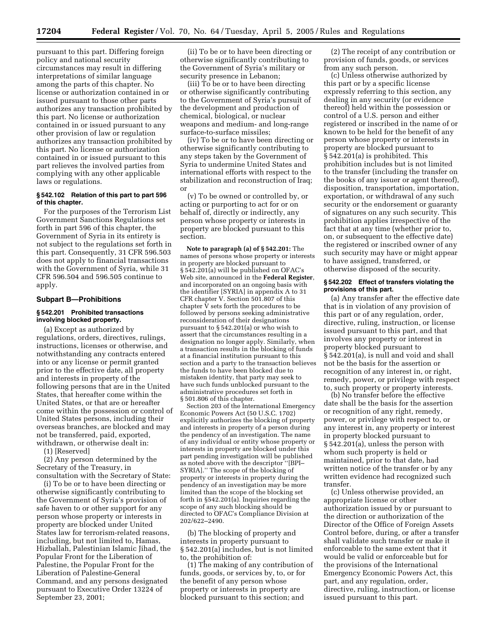pursuant to this part. Differing foreign policy and national security circumstances may result in differing interpretations of similar language among the parts of this chapter. No license or authorization contained in or issued pursuant to those other parts authorizes any transaction prohibited by this part. No license or authorization contained in or issued pursuant to any other provision of law or regulation authorizes any transaction prohibited by this part. No license or authorization contained in or issued pursuant to this part relieves the involved parties from complying with any other applicable laws or regulations.

# **§ 542.102 Relation of this part to part 596 of this chapter.**

For the purposes of the Terrorism List Government Sanctions Regulations set forth in part 596 of this chapter, the Government of Syria in its entirety is not subject to the regulations set forth in this part. Consequently, 31 CFR 596.503 does not apply to financial transactions with the Government of Syria, while 31 CFR 596.504 and 596.505 continue to apply.

## **Subpart B—Prohibitions**

# **§ 542.201 Prohibited transactions involving blocked property.**

(a) Except as authorized by regulations, orders, directives, rulings, instructions, licenses or otherwise, and notwithstanding any contracts entered into or any license or permit granted prior to the effective date, all property and interests in property of the following persons that are in the United States, that hereafter come within the United States, or that are or hereafter come within the possession or control of United States persons, including their overseas branches, are blocked and may not be transferred, paid, exported, withdrawn, or otherwise dealt in:

(1) [Reserved]

(2) Any person determined by the Secretary of the Treasury, in consultation with the Secretary of State:

(i) To be or to have been directing or otherwise significantly contributing to the Government of Syria's provision of safe haven to or other support for any person whose property or interests in property are blocked under United States law for terrorism-related reasons, including, but not limited to, Hamas, Hizballah, Palestinian Islamic Jihad, the Popular Front for the Liberation of Palestine, the Popular Front for the Liberation of Palestine-General Command, and any persons designated pursuant to Executive Order 13224 of September 23, 2001;

(ii) To be or to have been directing or otherwise significantly contributing to the Government of Syria's military or security presence in Lebanon;

(iii) To be or to have been directing or otherwise significantly contributing to the Government of Syria's pursuit of the development and production of chemical, biological, or nuclear weapons and medium- and long-range surface-to-surface missiles;

(iv) To be or to have been directing or otherwise significantly contributing to any steps taken by the Government of Syria to undermine United States and international efforts with respect to the stabilization and reconstruction of Iraq; or

(v) To be owned or controlled by, or acting or purporting to act for or on behalf of, directly or indirectly, any person whose property or interests in property are blocked pursuant to this section.

**Note to paragraph (a) of § 542.201:** The names of persons whose property or interests in property are blocked pursuant to § 542.201(a) will be published on OFAC's Web site, announced in the **Federal Register**, and incorporated on an ongoing basis with the identifier [SYRIA] in appendix A to 31 CFR chapter V. Section 501.807 of this chapter  $\bar{V}$  sets forth the procedures to be followed by persons seeking administrative reconsideration of their designations pursuant to § 542.201(a) or who wish to assert that the circumstances resulting in a designation no longer apply. Similarly, when a transaction results in the blocking of funds at a financial institution pursuant to this section and a party to the transaction believes the funds to have been blocked due to mistaken identity, that party may seek to have such funds unblocked pursuant to the administrative procedures set forth in § 501.806 of this chapter.

Section 203 of the International Emergency Economic Powers Act (50 U.S.C. 1702) explicitly authorizes the blocking of property and interests in property of a person during the pendency of an investigation. The name of any individual or entity whose property or interests in property are blocked under this part pending investigation will be published as noted above with the descriptor ''[BPI– SYRIA].'' The scope of the blocking of property or interests in property during the pendency of an investigation may be more limited than the scope of the blocking set forth in §542.201(a). Inquiries regarding the scope of any such blocking should be directed to OFAC's Compliance Division at 202/622–2490.

(b) The blocking of property and interests in property pursuant to § 542.201(a) includes, but is not limited to, the prohibition of:

(1) The making of any contribution of funds, goods, or services by, to, or for the benefit of any person whose property or interests in property are blocked pursuant to this section; and

(2) The receipt of any contribution or provision of funds, goods, or services from any such person.

(c) Unless otherwise authorized by this part or by a specific license expressly referring to this section, any dealing in any security (or evidence thereof) held within the possession or control of a U.S. person and either registered or inscribed in the name of or known to be held for the benefit of any person whose property or interests in property are blocked pursuant to § 542.201(a) is prohibited. This prohibition includes but is not limited to the transfer (including the transfer on the books of any issuer or agent thereof), disposition, transportation, importation, exportation, or withdrawal of any such security or the endorsement or guaranty of signatures on any such security. This prohibition applies irrespective of the fact that at any time (whether prior to, on, or subsequent to the effective date) the registered or inscribed owner of any such security may have or might appear to have assigned, transferred, or otherwise disposed of the security.

## **§ 542.202 Effect of transfers violating the provisions of this part.**

(a) Any transfer after the effective date that is in violation of any provision of this part or of any regulation, order, directive, ruling, instruction, or license issued pursuant to this part, and that involves any property or interest in property blocked pursuant to § 542.201(a), is null and void and shall not be the basis for the assertion or recognition of any interest in, or right, remedy, power, or privilege with respect to, such property or property interests.

(b) No transfer before the effective date shall be the basis for the assertion or recognition of any right, remedy, power, or privilege with respect to, or any interest in, any property or interest in property blocked pursuant to § 542.201(a), unless the person with whom such property is held or maintained, prior to that date, had written notice of the transfer or by any written evidence had recognized such transfer.

(c) Unless otherwise provided, an appropriate license or other authorization issued by or pursuant to the direction or authorization of the Director of the Office of Foreign Assets Control before, during, or after a transfer shall validate such transfer or make it enforceable to the same extent that it would be valid or enforceable but for the provisions of the International Emergency Economic Powers Act, this part, and any regulation, order, directive, ruling, instruction, or license issued pursuant to this part.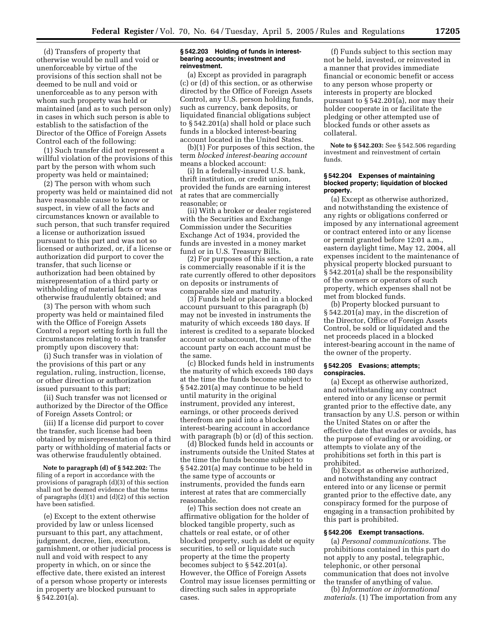(d) Transfers of property that otherwise would be null and void or unenforceable by virtue of the provisions of this section shall not be deemed to be null and void or unenforceable as to any person with whom such property was held or maintained (and as to such person only) in cases in which such person is able to establish to the satisfaction of the Director of the Office of Foreign Assets Control each of the following:

(1) Such transfer did not represent a willful violation of the provisions of this part by the person with whom such property was held or maintained;

(2) The person with whom such property was held or maintained did not have reasonable cause to know or suspect, in view of all the facts and circumstances known or available to such person, that such transfer required a license or authorization issued pursuant to this part and was not so licensed or authorized, or, if a license or authorization did purport to cover the transfer, that such license or authorization had been obtained by misrepresentation of a third party or withholding of material facts or was otherwise fraudulently obtained; and

(3) The person with whom such property was held or maintained filed with the Office of Foreign Assets Control a report setting forth in full the circumstances relating to such transfer promptly upon discovery that:

(i) Such transfer was in violation of the provisions of this part or any regulation, ruling, instruction, license, or other direction or authorization issued pursuant to this part;

(ii) Such transfer was not licensed or authorized by the Director of the Office of Foreign Assets Control; or

(iii) If a license did purport to cover the transfer, such license had been obtained by misrepresentation of a third party or withholding of material facts or was otherwise fraudulently obtained.

**Note to paragraph (d) of § 542.202:** The filing of a report in accordance with the provisions of paragraph (d)(3) of this section shall not be deemed evidence that the terms of paragraphs  $(d)(1)$  and  $(d)(2)$  of this section have been satisfied.

(e) Except to the extent otherwise provided by law or unless licensed pursuant to this part, any attachment, judgment, decree, lien, execution, garnishment, or other judicial process is null and void with respect to any property in which, on or since the effective date, there existed an interest of a person whose property or interests in property are blocked pursuant to § 542.201(a).

## **§ 542.203 Holding of funds in interestbearing accounts; investment and reinvestment.**

(a) Except as provided in paragraph (c) or (d) of this section, or as otherwise directed by the Office of Foreign Assets Control, any U.S. person holding funds, such as currency, bank deposits, or liquidated financial obligations subject to § 542.201(a) shall hold or place such funds in a blocked interest-bearing account located in the United States.

(b)(1) For purposes of this section, the term *blocked interest-bearing account* means a blocked account:

(i) In a federally-insured U.S. bank, thrift institution, or credit union, provided the funds are earning interest at rates that are commercially reasonable; or

(ii) With a broker or dealer registered with the Securities and Exchange Commission under the Securities Exchange Act of 1934, provided the funds are invested in a money market fund or in U.S. Treasury Bills.

(2) For purposes of this section, a rate is commercially reasonable if it is the rate currently offered to other depositors on deposits or instruments of comparable size and maturity.

(3) Funds held or placed in a blocked account pursuant to this paragraph (b) may not be invested in instruments the maturity of which exceeds 180 days. If interest is credited to a separate blocked account or subaccount, the name of the account party on each account must be the same.

(c) Blocked funds held in instruments the maturity of which exceeds 180 days at the time the funds become subject to § 542.201(a) may continue to be held until maturity in the original instrument, provided any interest, earnings, or other proceeds derived therefrom are paid into a blocked interest-bearing account in accordance with paragraph (b) or (d) of this section.

(d) Blocked funds held in accounts or instruments outside the United States at the time the funds become subject to § 542.201(a) may continue to be held in the same type of accounts or instruments, provided the funds earn interest at rates that are commercially reasonable.

(e) This section does not create an affirmative obligation for the holder of blocked tangible property, such as chattels or real estate, or of other blocked property, such as debt or equity securities, to sell or liquidate such property at the time the property becomes subject to § 542.201(a). However, the Office of Foreign Assets Control may issue licenses permitting or directing such sales in appropriate cases.

(f) Funds subject to this section may not be held, invested, or reinvested in a manner that provides immediate financial or economic benefit or access to any person whose property or interests in property are blocked pursuant to § 542.201(a), nor may their holder cooperate in or facilitate the pledging or other attempted use of blocked funds or other assets as collateral.

**Note to § 542.203:** See § 542.506 regarding investment and reinvestment of certain funds.

## **§ 542.204 Expenses of maintaining blocked property; liquidation of blocked property.**

(a) Except as otherwise authorized, and notwithstanding the existence of any rights or obligations conferred or imposed by any international agreement or contract entered into or any license or permit granted before 12:01 a.m., eastern daylight time, May 12, 2004, all expenses incident to the maintenance of physical property blocked pursuant to § 542.201(a) shall be the responsibility of the owners or operators of such property, which expenses shall not be met from blocked funds.

(b) Property blocked pursuant to § 542.201(a) may, in the discretion of the Director, Office of Foreign Assets Control, be sold or liquidated and the net proceeds placed in a blocked interest-bearing account in the name of the owner of the property.

# **§ 542.205 Evasions; attempts; conspiracies.**

(a) Except as otherwise authorized, and notwithstanding any contract entered into or any license or permit granted prior to the effective date, any transaction by any U.S. person or within the United States on or after the effective date that evades or avoids, has the purpose of evading or avoiding, or attempts to violate any of the prohibitions set forth in this part is prohibited.

(b) Except as otherwise authorized, and notwithstanding any contract entered into or any license or permit granted prior to the effective date, any conspiracy formed for the purpose of engaging in a transaction prohibited by this part is prohibited.

## **§ 542.206 Exempt transactions.**

(a) *Personal communications.* The prohibitions contained in this part do not apply to any postal, telegraphic, telephonic, or other personal communication that does not involve the transfer of anything of value.

(b) *Information or informational materials.* (1) The importation from any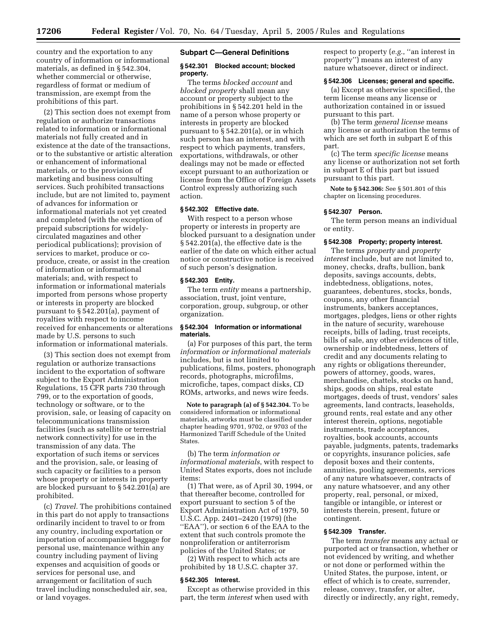country and the exportation to any country of information or informational materials, as defined in § 542.304, whether commercial or otherwise, regardless of format or medium of transmission, are exempt from the prohibitions of this part.

(2) This section does not exempt from regulation or authorize transactions related to information or informational materials not fully created and in existence at the date of the transactions, or to the substantive or artistic alteration or enhancement of informational materials, or to the provision of marketing and business consulting services. Such prohibited transactions include, but are not limited to, payment of advances for information or informational materials not yet created and completed (with the exception of prepaid subscriptions for widelycirculated magazines and other periodical publications); provision of services to market, produce or coproduce, create, or assist in the creation of information or informational materials; and, with respect to information or informational materials imported from persons whose property or interests in property are blocked pursuant to § 542.201(a), payment of royalties with respect to income received for enhancements or alterations made by U.S. persons to such information or informational materials.

(3) This section does not exempt from regulation or authorize transactions incident to the exportation of software subject to the Export Administration Regulations, 15 CFR parts 730 through 799, or to the exportation of goods, technology or software, or to the provision, sale, or leasing of capacity on telecommunications transmission facilities (such as satellite or terrestrial network connectivity) for use in the transmission of any data. The exportation of such items or services and the provision, sale, or leasing of such capacity or facilities to a person whose property or interests in property are blocked pursuant to § 542.201(a) are prohibited.

(c) *Travel.* The prohibitions contained in this part do not apply to transactions ordinarily incident to travel to or from any country, including exportation or importation of accompanied baggage for personal use, maintenance within any country including payment of living expenses and acquisition of goods or services for personal use, and arrangement or facilitation of such travel including nonscheduled air, sea, or land voyages.

#### **Subpart C—General Definitions**

# **§ 542.301 Blocked account; blocked property.**

The terms *blocked account* and *blocked property* shall mean any account or property subject to the prohibitions in § 542.201 held in the name of a person whose property or interests in property are blocked pursuant to § 542.201(a), or in which such person has an interest, and with respect to which payments, transfers, exportations, withdrawals, or other dealings may not be made or effected except pursuant to an authorization or license from the Office of Foreign Assets Control expressly authorizing such action.

# **§ 542.302 Effective date.**

With respect to a person whose property or interests in property are blocked pursuant to a designation under § 542.201(a), the effective date is the earlier of the date on which either actual notice or constructive notice is received of such person's designation.

# **§ 542.303 Entity.**

The term *entity* means a partnership, association, trust, joint venture, corporation, group, subgroup, or other organization.

## **§ 542.304 Information or informational materials.**

(a) For purposes of this part, the term *information or informational materials* includes, but is not limited to publications, films, posters, phonograph records, photographs, microfilms, microfiche, tapes, compact disks, CD ROMs, artworks, and news wire feeds.

**Note to paragraph (a) of § 542.304.** To be considered information or informational materials, artworks must be classified under chapter heading 9701, 9702, or 9703 of the Harmonized Tariff Schedule of the United States.

(b) The term *information or informational materials*, with respect to United States exports, does not include items:

(1) That were, as of April 30, 1994, or that thereafter become, controlled for export pursuant to section 5 of the Export Administration Act of 1979, 50 U.S.C. App. 2401–2420 (1979) (the ''EAA''), or section 6 of the EAA to the extent that such controls promote the nonproliferation or antiterrorism policies of the United States; or

(2) With respect to which acts are prohibited by 18 U.S.C. chapter 37.

#### **§ 542.305 Interest.**

Except as otherwise provided in this part, the term *interest* when used with

respect to property (*e.g.*, ''an interest in property'') means an interest of any nature whatsoever, direct or indirect.

#### **§ 542.306 Licenses; general and specific.**

(a) Except as otherwise specified, the term license means any license or authorization contained in or issued pursuant to this part.

(b) The term *general license* means any license or authorization the terms of which are set forth in subpart E of this part.

(c) The term *specific license* means any license or authorization not set forth in subpart E of this part but issued pursuant to this part.

**Note to § 542.306:** See § 501.801 of this chapter on licensing procedures.

#### **§ 542.307 Person.**

The term person means an individual or entity.

# **§ 542.308 Property; property interest.**

The terms *property* and *property interest* include, but are not limited to, money, checks, drafts, bullion, bank deposits, savings accounts, debts, indebtedness, obligations, notes, guarantees, debentures, stocks, bonds, coupons, any other financial instruments, bankers acceptances, mortgages, pledges, liens or other rights in the nature of security, warehouse receipts, bills of lading, trust receipts, bills of sale, any other evidences of title, ownership or indebtedness, letters of credit and any documents relating to any rights or obligations thereunder, powers of attorney, goods, wares, merchandise, chattels, stocks on hand, ships, goods on ships, real estate mortgages, deeds of trust, vendors' sales agreements, land contracts, leaseholds, ground rents, real estate and any other interest therein, options, negotiable instruments, trade acceptances, royalties, book accounts, accounts payable, judgments, patents, trademarks or copyrights, insurance policies, safe deposit boxes and their contents, annuities, pooling agreements, services of any nature whatsoever, contracts of any nature whatsoever, and any other property, real, personal, or mixed, tangible or intangible, or interest or interests therein, present, future or contingent.

## **§ 542.309 Transfer.**

The term *transfer* means any actual or purported act or transaction, whether or not evidenced by writing, and whether or not done or performed within the United States, the purpose, intent, or effect of which is to create, surrender, release, convey, transfer, or alter, directly or indirectly, any right, remedy,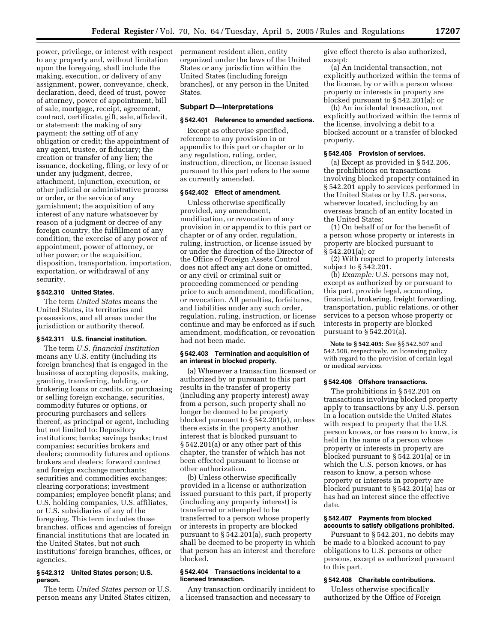power, privilege, or interest with respect to any property and, without limitation upon the foregoing, shall include the making, execution, or delivery of any assignment, power, conveyance, check, declaration, deed, deed of trust, power of attorney, power of appointment, bill of sale, mortgage, receipt, agreement, contract, certificate, gift, sale, affidavit, or statement; the making of any payment; the setting off of any obligation or credit; the appointment of any agent, trustee, or fiduciary; the creation or transfer of any lien; the issuance, docketing, filing, or levy of or under any judgment, decree, attachment, injunction, execution, or other judicial or administrative process or order, or the service of any garnishment; the acquisition of any interest of any nature whatsoever by reason of a judgment or decree of any foreign country; the fulfillment of any condition; the exercise of any power of appointment, power of attorney, or other power; or the acquisition, disposition, transportation, importation, exportation, or withdrawal of any security.

## **§ 542.310 United States.**

The term *United States* means the United States, its territories and possessions, and all areas under the jurisdiction or authority thereof.

# **§ 542.311 U.S. financial institution.**

The term *U.S. financial institution* means any U.S. entity (including its foreign branches) that is engaged in the business of accepting deposits, making, granting, transferring, holding, or brokering loans or credits, or purchasing or selling foreign exchange, securities, commodity futures or options, or procuring purchasers and sellers thereof, as principal or agent, including but not limited to: Depository institutions; banks; savings banks; trust companies; securities brokers and dealers; commodity futures and options brokers and dealers; forward contract and foreign exchange merchants; securities and commodities exchanges; clearing corporations; investment companies; employee benefit plans; and U.S. holding companies, U.S. affiliates, or U.S. subsidiaries of any of the foregoing. This term includes those branches, offices and agencies of foreign financial institutions that are located in the United States, but not such institutions' foreign branches, offices, or agencies.

# **§ 542.312 United States person; U.S. person.**

The term *United States person* or U.S. person means any United States citizen,

permanent resident alien, entity organized under the laws of the United States or any jurisdiction within the United States (including foreign branches), or any person in the United States.

# **Subpart D—Interpretations**

## **§ 542.401 Reference to amended sections.**

Except as otherwise specified, reference to any provision in or appendix to this part or chapter or to any regulation, ruling, order, instruction, direction, or license issued pursuant to this part refers to the same as currently amended.

# **§ 542.402 Effect of amendment.**

Unless otherwise specifically provided, any amendment, modification, or revocation of any provision in or appendix to this part or chapter or of any order, regulation, ruling, instruction, or license issued by or under the direction of the Director of the Office of Foreign Assets Control does not affect any act done or omitted, or any civil or criminal suit or proceeding commenced or pending prior to such amendment, modification, or revocation. All penalties, forfeitures, and liabilities under any such order, regulation, ruling, instruction, or license continue and may be enforced as if such amendment, modification, or revocation had not been made.

## **§ 542.403 Termination and acquisition of an interest in blocked property.**

(a) Whenever a transaction licensed or authorized by or pursuant to this part results in the transfer of property (including any property interest) away from a person, such property shall no longer be deemed to be property blocked pursuant to § 542.201(a), unless there exists in the property another interest that is blocked pursuant to § 542.201(a) or any other part of this chapter, the transfer of which has not been effected pursuant to license or other authorization.

(b) Unless otherwise specifically provided in a license or authorization issued pursuant to this part, if property (including any property interest) is transferred or attempted to be transferred to a person whose property or interests in property are blocked pursuant to § 542.201(a), such property shall be deemed to be property in which that person has an interest and therefore blocked.

# **§ 542.404 Transactions incidental to a licensed transaction.**

Any transaction ordinarily incident to a licensed transaction and necessary to

give effect thereto is also authorized, except:

(a) An incidental transaction, not explicitly authorized within the terms of the license, by or with a person whose property or interests in property are blocked pursuant to § 542.201(a); or

(b) An incidental transaction, not explicitly authorized within the terms of the license, involving a debit to a blocked account or a transfer of blocked property.

#### **§ 542.405 Provision of services.**

(a) Except as provided in § 542.206, the prohibitions on transactions involving blocked property contained in § 542.201 apply to services performed in the United States or by U.S. persons, wherever located, including by an overseas branch of an entity located in the United States:

(1) On behalf of or for the benefit of a person whose property or interests in property are blocked pursuant to § 542.201(a); or

(2) With respect to property interests subject to § 542.201.

(b) *Example:* U.S. persons may not, except as authorized by or pursuant to this part, provide legal, accounting, financial, brokering, freight forwarding, transportation, public relations, or other services to a person whose property or interests in property are blocked pursuant to § 542.201(a).

**Note to § 542.405:** See §§ 542.507 and 542.508, respectively, on licensing policy with regard to the provision of certain legal or medical services.

## **§ 542.406 Offshore transactions.**

The prohibitions in § 542.201 on transactions involving blocked property apply to transactions by any U.S. person in a location outside the United States with respect to property that the U.S. person knows, or has reason to know, is held in the name of a person whose property or interests in property are blocked pursuant to § 542.201(a) or in which the U.S. person knows, or has reason to know, a person whose property or interests in property are blocked pursuant to § 542.201(a) has or has had an interest since the effective date.

# **§ 542.407 Payments from blocked accounts to satisfy obligations prohibited.**

Pursuant to § 542.201, no debits may be made to a blocked account to pay obligations to U.S. persons or other persons, except as authorized pursuant to this part.

## **§ 542.408 Charitable contributions.**

Unless otherwise specifically authorized by the Office of Foreign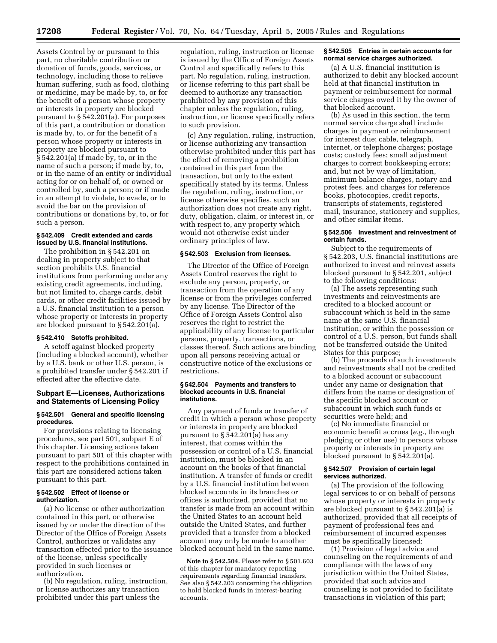Assets Control by or pursuant to this part, no charitable contribution or donation of funds, goods, services, or technology, including those to relieve human suffering, such as food, clothing or medicine, may be made by, to, or for the benefit of a person whose property or interests in property are blocked pursuant to § 542.201(a). For purposes of this part, a contribution or donation is made by, to, or for the benefit of a person whose property or interests in property are blocked pursuant to § 542.201(a) if made by, to, or in the name of such a person; if made by, to, or in the name of an entity or individual acting for or on behalf of, or owned or controlled by, such a person; or if made in an attempt to violate, to evade, or to avoid the bar on the provision of contributions or donations by, to, or for such a person.

# **§ 542.409 Credit extended and cards issued by U.S. financial institutions.**

The prohibition in § 542.201 on dealing in property subject to that section prohibits U.S. financial institutions from performing under any existing credit agreements, including, but not limited to, charge cards, debit cards, or other credit facilities issued by a U.S. financial institution to a person whose property or interests in property are blocked pursuant to § 542.201(a).

# **§ 542.410 Setoffs prohibited.**

A setoff against blocked property (including a blocked account), whether by a U.S. bank or other U.S. person, is a prohibited transfer under § 542.201 if effected after the effective date.

# **Subpart E—Licenses, Authorizations and Statements of Licensing Policy**

## **§ 542.501 General and specific licensing procedures.**

For provisions relating to licensing procedures, see part 501, subpart E of this chapter. Licensing actions taken pursuant to part 501 of this chapter with respect to the prohibitions contained in this part are considered actions taken pursuant to this part.

# **§ 542.502 Effect of license or authorization.**

(a) No license or other authorization contained in this part, or otherwise issued by or under the direction of the Director of the Office of Foreign Assets Control, authorizes or validates any transaction effected prior to the issuance of the license, unless specifically provided in such licenses or authorization.

(b) No regulation, ruling, instruction, or license authorizes any transaction prohibited under this part unless the

regulation, ruling, instruction or license is issued by the Office of Foreign Assets Control and specifically refers to this part. No regulation, ruling, instruction, or license referring to this part shall be deemed to authorize any transaction prohibited by any provision of this chapter unless the regulation, ruling, instruction, or license specifically refers to such provision.

(c) Any regulation, ruling, instruction, or license authorizing any transaction otherwise prohibited under this part has the effect of removing a prohibition contained in this part from the transaction, but only to the extent specifically stated by its terms. Unless the regulation, ruling, instruction, or license otherwise specifies, such an authorization does not create any right, duty, obligation, claim, or interest in, or with respect to, any property which would not otherwise exist under ordinary principles of law.

# **§ 542.503 Exclusion from licenses.**

The Director of the Office of Foreign Assets Control reserves the right to exclude any person, property, or transaction from the operation of any license or from the privileges conferred by any license. The Director of the Office of Foreign Assets Control also reserves the right to restrict the applicability of any license to particular persons, property, transactions, or classes thereof. Such actions are binding upon all persons receiving actual or constructive notice of the exclusions or restrictions.

## **§ 542.504 Payments and transfers to blocked accounts in U.S. financial institutions.**

Any payment of funds or transfer of credit in which a person whose property or interests in property are blocked pursuant to § 542.201(a) has any interest, that comes within the possession or control of a U.S. financial institution, must be blocked in an account on the books of that financial institution. A transfer of funds or credit by a U.S. financial institution between blocked accounts in its branches or offices is authorized, provided that no transfer is made from an account within the United States to an account held outside the United States, and further provided that a transfer from a blocked account may only be made to another blocked account held in the same name.

**Note to § 542.504.** Please refer to § 501.603 of this chapter for mandatory reporting requirements regarding financial transfers. See also § 542.203 concerning the obligation to hold blocked funds in interest-bearing accounts.

## **§ 542.505 Entries in certain accounts for normal service charges authorized.**

(a) A U.S. financial institution is authorized to debit any blocked account held at that financial institution in payment or reimbursement for normal service charges owed it by the owner of that blocked account.

(b) As used in this section, the term normal service charge shall include charges in payment or reimbursement for interest due; cable, telegraph, internet, or telephone charges; postage costs; custody fees; small adjustment charges to correct bookkeeping errors; and, but not by way of limitation, minimum balance charges, notary and protest fees, and charges for reference books, photocopies, credit reports, transcripts of statements, registered mail, insurance, stationery and supplies, and other similar items.

## **§ 542.506 Investment and reinvestment of certain funds.**

Subject to the requirements of § 542.203, U.S. financial institutions are authorized to invest and reinvest assets blocked pursuant to § 542.201, subject to the following conditions:

(a) The assets representing such investments and reinvestments are credited to a blocked account or subaccount which is held in the same name at the same U.S. financial institution, or within the possession or control of a U.S. person, but funds shall not be transferred outside the United States for this purpose;

(b) The proceeds of such investments and reinvestments shall not be credited to a blocked account or subaccount under any name or designation that differs from the name or designation of the specific blocked account or subaccount in which such funds or securities were held; and

(c) No immediate financial or economic benefit accrues (*e.g.*, through pledging or other use) to persons whose property or interests in property are blocked pursuant to § 542.201(a).

## **§ 542.507 Provision of certain legal services authorized.**

(a) The provision of the following legal services to or on behalf of persons whose property or interests in property are blocked pursuant to § 542.201(a) is authorized, provided that all receipts of payment of professional fees and reimbursement of incurred expenses must be specifically licensed:

(1) Provision of legal advice and counseling on the requirements of and compliance with the laws of any jurisdiction within the United States, provided that such advice and counseling is not provided to facilitate transactions in violation of this part;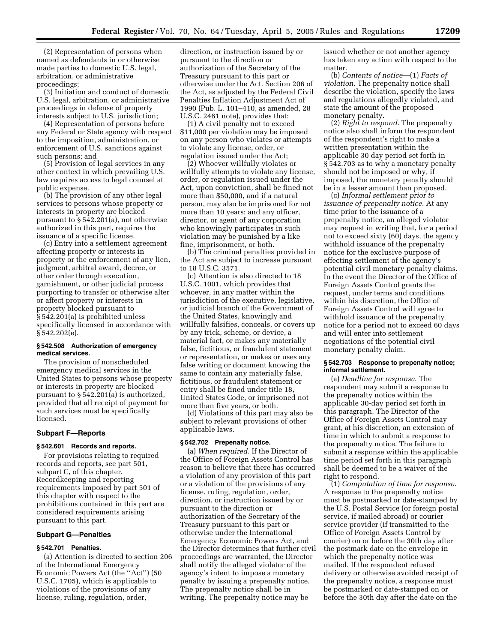(2) Representation of persons when named as defendants in or otherwise made parties to domestic U.S. legal, arbitration, or administrative proceedings;

(3) Initiation and conduct of domestic U.S. legal, arbitration, or administrative proceedings in defense of property interests subject to U.S. jurisdiction;

(4) Representation of persons before any Federal or State agency with respect to the imposition, administration, or enforcement of U.S. sanctions against such persons; and

(5) Provision of legal services in any other context in which prevailing U.S. law requires access to legal counsel at public expense.

(b) The provision of any other legal services to persons whose property or interests in property are blocked pursuant to § 542.201(a), not otherwise authorized in this part, requires the issuance of a specific license.

(c) Entry into a settlement agreement affecting property or interests in property or the enforcement of any lien, judgment, arbitral award, decree, or other order through execution, garnishment, or other judicial process purporting to transfer or otherwise alter or affect property or interests in property blocked pursuant to § 542.201(a) is prohibited unless specifically licensed in accordance with § 542.202(e).

## **§ 542.508 Authorization of emergency medical services.**

The provision of nonscheduled emergency medical services in the United States to persons whose property or interests in property are blocked pursuant to § 542.201(a) is authorized, provided that all receipt of payment for such services must be specifically licensed.

# **Subpart F—Reports**

# **§ 542.601 Records and reports.**

For provisions relating to required records and reports, see part 501, subpart C, of this chapter. Recordkeeping and reporting requirements imposed by part 501 of this chapter with respect to the prohibitions contained in this part are considered requirements arising pursuant to this part.

## **Subpart G—Penalties**

# **§ 542.701 Penalties.**

(a) Attention is directed to section 206 of the International Emergency Economic Powers Act (the ''Act'') (50 U.S.C. 1705), which is applicable to violations of the provisions of any license, ruling, regulation, order,

direction, or instruction issued by or pursuant to the direction or authorization of the Secretary of the Treasury pursuant to this part or otherwise under the Act. Section 206 of the Act, as adjusted by the Federal Civil Penalties Inflation Adjustment Act of 1990 (Pub. L. 101–410, as amended, 28 U.S.C. 2461 note), provides that:

(1) A civil penalty not to exceed \$11,000 per violation may be imposed on any person who violates or attempts to violate any license, order, or regulation issued under the Act;

(2) Whoever willfully violates or willfully attempts to violate any license, order, or regulation issued under the Act, upon conviction, shall be fined not more than \$50,000, and if a natural person, may also be imprisoned for not more than 10 years; and any officer, director, or agent of any corporation who knowingly participates in such violation may be punished by a like fine, imprisonment, or both.

(b) The criminal penalties provided in the Act are subject to increase pursuant to 18 U.S.C. 3571.

(c) Attention is also directed to 18 U.S.C. 1001, which provides that whoever, in any matter within the jurisdiction of the executive, legislative, or judicial branch of the Government of the United States, knowingly and willfully falsifies, conceals, or covers up by any trick, scheme, or device, a material fact, or makes any materially false, fictitious, or fraudulent statement or representation, or makes or uses any false writing or document knowing the same to contain any materially false, fictitious, or fraudulent statement or entry shall be fined under title 18, United States Code, or imprisoned not more than five years, or both.

(d) Violations of this part may also be subject to relevant provisions of other applicable laws.

# **§ 542.702 Prepenalty notice.**

(a) *When required.* If the Director of the Office of Foreign Assets Control has reason to believe that there has occurred a violation of any provision of this part or a violation of the provisions of any license, ruling, regulation, order, direction, or instruction issued by or pursuant to the direction or authorization of the Secretary of the Treasury pursuant to this part or otherwise under the International Emergency Economic Powers Act, and the Director determines that further civil proceedings are warranted, the Director shall notify the alleged violator of the agency's intent to impose a monetary penalty by issuing a prepenalty notice. The prepenalty notice shall be in writing. The prepenalty notice may be

issued whether or not another agency has taken any action with respect to the matter.

(b) *Contents of notice*—(1) *Facts of violation.* The prepenalty notice shall describe the violation, specify the laws and regulations allegedly violated, and state the amount of the proposed monetary penalty.

(2) *Right to respond.* The prepenalty notice also shall inform the respondent of the respondent's right to make a written presentation within the applicable 30 day period set forth in § 542.703 as to why a monetary penalty should not be imposed or why, if imposed, the monetary penalty should be in a lesser amount than proposed.

(c) *Informal settlement prior to issuance of prepenalty notice.* At any time prior to the issuance of a prepenalty notice, an alleged violator may request in writing that, for a period not to exceed sixty (60) days, the agency withhold issuance of the prepenalty notice for the exclusive purpose of effecting settlement of the agency's potential civil monetary penalty claims. In the event the Director of the Office of Foreign Assets Control grants the request, under terms and conditions within his discretion, the Office of Foreign Assets Control will agree to withhold issuance of the prepenalty notice for a period not to exceed 60 days and will enter into settlement negotiations of the potential civil monetary penalty claim.

# **§ 542.703 Response to prepenalty notice; informal settlement.**

(a) *Deadline for response.* The respondent may submit a response to the prepenalty notice within the applicable 30-day period set forth in this paragraph. The Director of the Office of Foreign Assets Control may grant, at his discretion, an extension of time in which to submit a response to the prepenalty notice. The failure to submit a response within the applicable time period set forth in this paragraph shall be deemed to be a waiver of the right to respond.

(1) *Computation of time for response.* A response to the prepenalty notice must be postmarked or date-stamped by the U.S. Postal Service (or foreign postal service, if mailed abroad) or courier service provider (if transmitted to the Office of Foreign Assets Control by courier) on or before the 30th day after the postmark date on the envelope in which the prepenalty notice was mailed. If the respondent refused delivery or otherwise avoided receipt of the prepenalty notice, a response must be postmarked or date-stamped on or before the 30th day after the date on the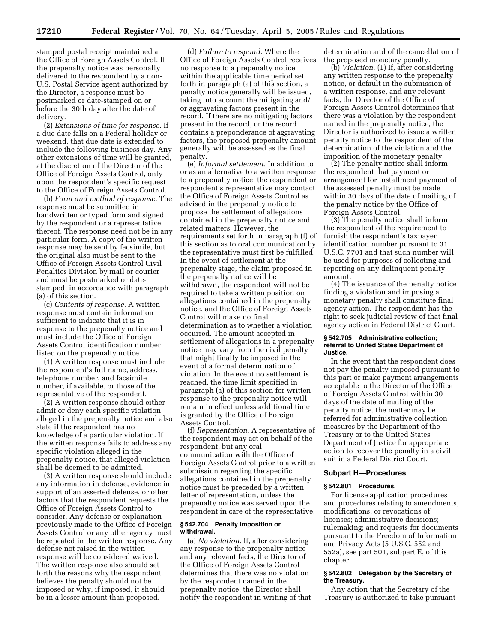stamped postal receipt maintained at the Office of Foreign Assets Control. If the prepenalty notice was personally delivered to the respondent by a non-U.S. Postal Service agent authorized by the Director, a response must be postmarked or date-stamped on or before the 30th day after the date of delivery.

(2) *Extensions of time for response.* If a due date falls on a Federal holiday or weekend, that due date is extended to include the following business day. Any other extensions of time will be granted, at the discretion of the Director of the Office of Foreign Assets Control, only upon the respondent's specific request to the Office of Foreign Assets Control.

(b) *Form and method of response.* The response must be submitted in handwritten or typed form and signed by the respondent or a representative thereof. The response need not be in any particular form. A copy of the written response may be sent by facsimile, but the original also must be sent to the Office of Foreign Assets Control Civil Penalties Division by mail or courier and must be postmarked or datestamped, in accordance with paragraph (a) of this section.

(c) *Contents of response.* A written response must contain information sufficient to indicate that it is in response to the prepenalty notice and must include the Office of Foreign Assets Control identification number listed on the prepenalty notice.

(1) A written response must include the respondent's full name, address, telephone number, and facsimile number, if available, or those of the representative of the respondent.

(2) A written response should either admit or deny each specific violation alleged in the prepenalty notice and also state if the respondent has no knowledge of a particular violation. If the written response fails to address any specific violation alleged in the prepenalty notice, that alleged violation shall be deemed to be admitted.

(3) A written response should include any information in defense, evidence in support of an asserted defense, or other factors that the respondent requests the Office of Foreign Assets Control to consider. Any defense or explanation previously made to the Office of Foreign Assets Control or any other agency must be repeated in the written response. Any defense not raised in the written response will be considered waived. The written response also should set forth the reasons why the respondent believes the penalty should not be imposed or why, if imposed, it should be in a lesser amount than proposed.

(d) *Failure to respond.* Where the Office of Foreign Assets Control receives no response to a prepenalty notice within the applicable time period set forth in paragraph (a) of this section, a penalty notice generally will be issued, taking into account the mitigating and/ or aggravating factors present in the record. If there are no mitigating factors present in the record, or the record contains a preponderance of aggravating factors, the proposed prepenalty amount generally will be assessed as the final penalty.

(e) *Informal settlement.* In addition to or as an alternative to a written response to a prepenalty notice, the respondent or respondent's representative may contact the Office of Foreign Assets Control as advised in the prepenalty notice to propose the settlement of allegations contained in the prepenalty notice and related matters. However, the requirements set forth in paragraph (f) of this section as to oral communication by the representative must first be fulfilled. In the event of settlement at the prepenalty stage, the claim proposed in the prepenalty notice will be withdrawn, the respondent will not be required to take a written position on allegations contained in the prepenalty notice, and the Office of Foreign Assets Control will make no final determination as to whether a violation occurred. The amount accepted in settlement of allegations in a prepenalty notice may vary from the civil penalty that might finally be imposed in the event of a formal determination of violation. In the event no settlement is reached, the time limit specified in paragraph (a) of this section for written response to the prepenalty notice will remain in effect unless additional time is granted by the Office of Foreign Assets Control.

(f) *Representation.* A representative of the respondent may act on behalf of the respondent, but any oral communication with the Office of Foreign Assets Control prior to a written submission regarding the specific allegations contained in the prepenalty notice must be preceded by a written letter of representation, unless the prepenalty notice was served upon the respondent in care of the representative.

#### **§ 542.704 Penalty imposition or withdrawal.**

(a) *No violation.* If, after considering any response to the prepenalty notice and any relevant facts, the Director of the Office of Foreign Assets Control determines that there was no violation by the respondent named in the prepenalty notice, the Director shall notify the respondent in writing of that determination and of the cancellation of the proposed monetary penalty.

(b) *Violation.* (1) If, after considering any written response to the prepenalty notice, or default in the submission of a written response, and any relevant facts, the Director of the Office of Foreign Assets Control determines that there was a violation by the respondent named in the prepenalty notice, the Director is authorized to issue a written penalty notice to the respondent of the determination of the violation and the imposition of the monetary penalty.

(2) The penalty notice shall inform the respondent that payment or arrangement for installment payment of the assessed penalty must be made within 30 days of the date of mailing of the penalty notice by the Office of Foreign Assets Control.

(3) The penalty notice shall inform the respondent of the requirement to furnish the respondent's taxpayer identification number pursuant to 31 U.S.C. 7701 and that such number will be used for purposes of collecting and reporting on any delinquent penalty amount.

(4) The issuance of the penalty notice finding a violation and imposing a monetary penalty shall constitute final agency action. The respondent has the right to seek judicial review of that final agency action in Federal District Court.

## **§ 542.705 Administrative collection; referral to United States Department of Justice.**

In the event that the respondent does not pay the penalty imposed pursuant to this part or make payment arrangements acceptable to the Director of the Office of Foreign Assets Control within 30 days of the date of mailing of the penalty notice, the matter may be referred for administrative collection measures by the Department of the Treasury or to the United States Department of Justice for appropriate action to recover the penalty in a civil suit in a Federal District Court.

# **Subpart H—Procedures**

## **§ 542.801 Procedures.**

For license application procedures and procedures relating to amendments, modifications, or revocations of licenses; administrative decisions; rulemaking; and requests for documents pursuant to the Freedom of Information and Privacy Acts (5 U.S.C. 552 and 552a), see part 501, subpart E, of this chapter.

# **§ 542.802 Delegation by the Secretary of the Treasury.**

Any action that the Secretary of the Treasury is authorized to take pursuant